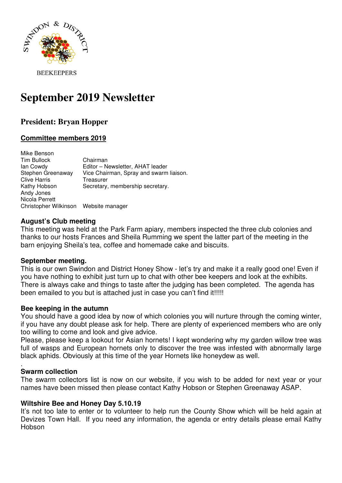

**BEEKEEPERS** 

# **September 2019 Newsletter**

## **President: Bryan Hopper**

## **Committee members 2019**

Mike Benson Tim Bullock Chairman<br>
lan Cowdy Editor – N Editor – Newsletter, AHAT leader Stephen Greenaway Vice Chairman, Spray and swarm liaison. Clive Harris Treasurer Kathy Hobson Secretary, membership secretary. Andy Jones Nicola Perrett Christopher Wilkinson Website manager

## **August's Club meeting**

This meeting was held at the Park Farm apiary, members inspected the three club colonies and thanks to our hosts Frances and Sheila Rumming we spent the latter part of the meeting in the barn enjoying Sheila's tea, coffee and homemade cake and biscuits.

## **September meeting.**

This is our own Swindon and District Honey Show - let's try and make it a really good one! Even if you have nothing to exhibit just turn up to chat with other bee keepers and look at the exhibits. There is always cake and things to taste after the judging has been completed. The agenda has been emailed to you but is attached just in case you can't find it!!!!!

## **Bee keeping in the autumn**

You should have a good idea by now of which colonies you will nurture through the coming winter, if you have any doubt please ask for help. There are plenty of experienced members who are only too willing to come and look and give advice.

Please, please keep a lookout for Asian hornets! I kept wondering why my garden willow tree was full of wasps and European hornets only to discover the tree was infested with abnormally large black aphids. Obviously at this time of the year Hornets like honeydew as well.

#### . **Swarm collection**

The swarm collectors list is now on our website, if you wish to be added for next year or your names have been missed then please contact Kathy Hobson or Stephen Greenaway ASAP.

## **Wiltshire Bee and Honey Day 5.10.19**

It's not too late to enter or to volunteer to help run the County Show which will be held again at Devizes Town Hall. If you need any information, the agenda or entry details please email Kathy Hobson